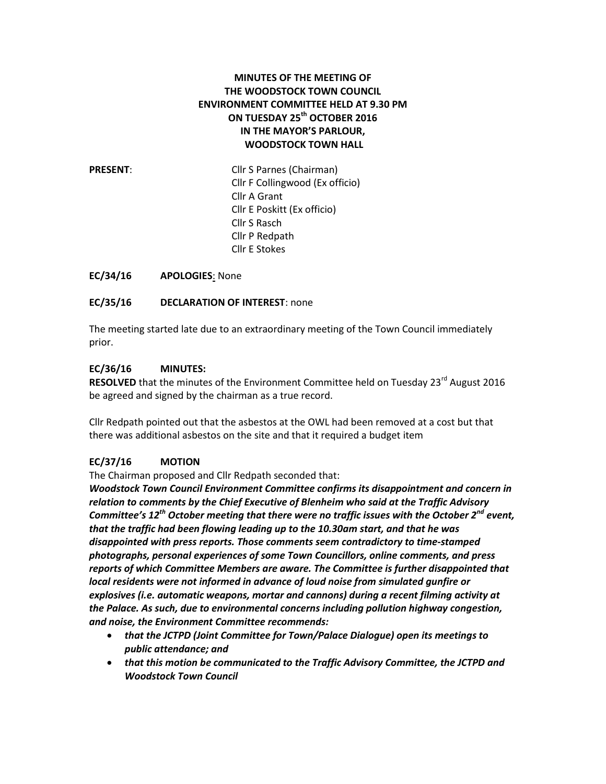#### **MINUTES OF THE MEETING OF THE WOODSTOCK TOWN COUNCIL ENVIRONMENT COMMITTEE HELD AT 9.30 PM ON TUESDAY 25th OCTOBER 2016 IN THE MAYOR'S PARLOUR, WOODSTOCK TOWN HALL**

**PRESENT:** Cllr S Parnes (Chairman) Cllr F Collingwood (Ex officio) Cllr A Grant Cllr E Poskitt (Ex officio) Cllr S Rasch Cllr P Redpath Cllr E Stokes

**EC/34/16 APOLOGIES**: None

**EC/35/16 DECLARATION OF INTEREST**: none

The meeting started late due to an extraordinary meeting of the Town Council immediately prior.

#### **EC/36/16 MINUTES:**

**RESOLVED** that the minutes of the Environment Committee held on Tuesday 23<sup>rd</sup> August 2016 be agreed and signed by the chairman as a true record.

Cllr Redpath pointed out that the asbestos at the OWL had been removed at a cost but that there was additional asbestos on the site and that it required a budget item

#### **EC/37/16 MOTION**

The Chairman proposed and Cllr Redpath seconded that:

*Woodstock Town Council Environment Committee confirms its disappointment and concern in relation to comments by the Chief Executive of Blenheim who said at the Traffic Advisory Committee's 12th October meeting that there were no traffic issues with the October 2nd event, that the traffic had been flowing leading up to the 10.30am start, and that he was disappointed with press reports. Those comments seem contradictory to time-stamped photographs, personal experiences of some Town Councillors, online comments, and press reports of which Committee Members are aware. The Committee is further disappointed that local residents were not informed in advance of loud noise from simulated gunfire or explosives (i.e. automatic weapons, mortar and cannons) during a recent filming activity at the Palace. As such, due to environmental concerns including pollution highway congestion, and noise, the Environment Committee recommends:*

- *that the JCTPD (Joint Committee for Town/Palace Dialogue) open its meetings to public attendance; and*
- *that this motion be communicated to the Traffic Advisory Committee, the JCTPD and Woodstock Town Council*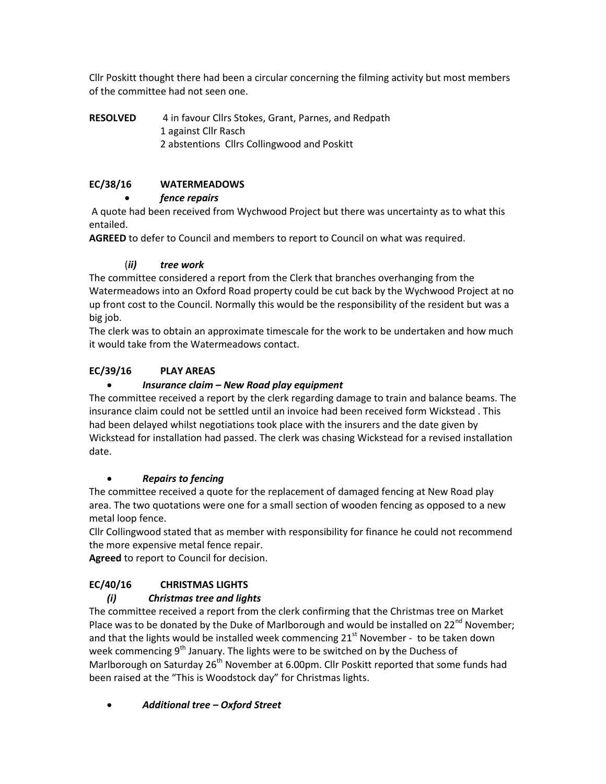Cllr Poskitt thought there had been a circular concerning the filming activity but most members of the committee had not seen one.

**RESOLVED** 4 in favour Cllrs Stokes, Grant, Parnes, and Redpath 1 against Cllr Rasch 2 abstentions Cllrs Collingwood and Poskitt

### **EC/38/16 WATERMEADOWS**

#### *fence repairs*

A quote had been received from Wychwood Project but there was uncertainty as to what this entailed.

**AGREED** to defer to Council and members to report to Council on what was required.

### (*ii) tree work*

The committee considered a report from the Clerk that branches overhanging from the Watermeadows into an Oxford Road property could be cut back by the Wychwood Project at no up front cost to the Council. Normally this would be the responsibility of the resident but was a big job.

The clerk was to obtain an approximate timescale for the work to be undertaken and how much it would take from the Watermeadows contact.

# **EC/39/16 PLAY AREAS**

### *Insurance claim – New Road play equipment*

The committee received a report by the clerk regarding damage to train and balance beams. The insurance claim could not be settled until an invoice had been received form Wickstead . This had been delayed whilst negotiations took place with the insurers and the date given by Wickstead for installation had passed. The clerk was chasing Wickstead for a revised installation date.

#### *Repairs to fencing*

The committee received a quote for the replacement of damaged fencing at New Road play area. The two quotations were one for a small section of wooden fencing as opposed to a new metal loop fence.

Cllr Collingwood stated that as member with responsibility for finance he could not recommend the more expensive metal fence repair.

**Agreed** to report to Council for decision.

# **EC/40/16 CHRISTMAS LIGHTS**

# *(i) Christmas tree and lights*

The committee received a report from the clerk confirming that the Christmas tree on Market Place was to be donated by the Duke of Marlborough and would be installed on  $22^{nd}$  November; and that the lights would be installed week commencing  $21^{st}$  November - to be taken down week commencing 9<sup>th</sup> January. The lights were to be switched on by the Duchess of Marlborough on Saturday 26<sup>th</sup> November at 6.00pm. Cllr Poskitt reported that some funds had been raised at the "This is Woodstock day" for Christmas lights.

*Additional tree – Oxford Street*